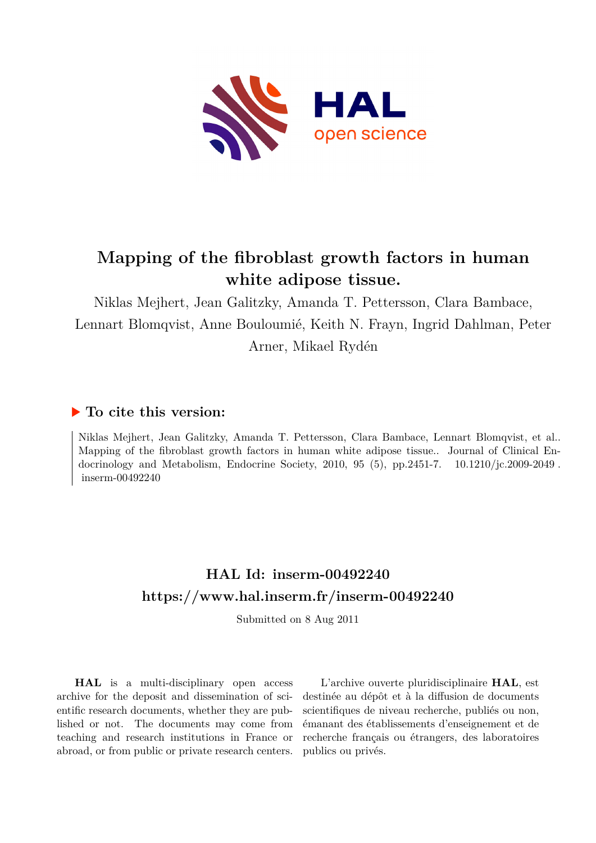

# **Mapping of the fibroblast growth factors in human white adipose tissue.**

Niklas Mejhert, Jean Galitzky, Amanda T. Pettersson, Clara Bambace, Lennart Blomqvist, Anne Bouloumié, Keith N. Frayn, Ingrid Dahlman, Peter Arner, Mikael Rydén

## **To cite this version:**

Niklas Mejhert, Jean Galitzky, Amanda T. Pettersson, Clara Bambace, Lennart Blomqvist, et al.. Mapping of the fibroblast growth factors in human white adipose tissue.. Journal of Clinical Endocrinology and Metabolism, Endocrine Society, 2010, 95 (5), pp.2451-7.  $10.1210/jc.2009-2049$ .  $inserm-00492240$ 

# **HAL Id: inserm-00492240 <https://www.hal.inserm.fr/inserm-00492240>**

Submitted on 8 Aug 2011

**HAL** is a multi-disciplinary open access archive for the deposit and dissemination of scientific research documents, whether they are published or not. The documents may come from teaching and research institutions in France or abroad, or from public or private research centers.

L'archive ouverte pluridisciplinaire **HAL**, est destinée au dépôt et à la diffusion de documents scientifiques de niveau recherche, publiés ou non, émanant des établissements d'enseignement et de recherche français ou étrangers, des laboratoires publics ou privés.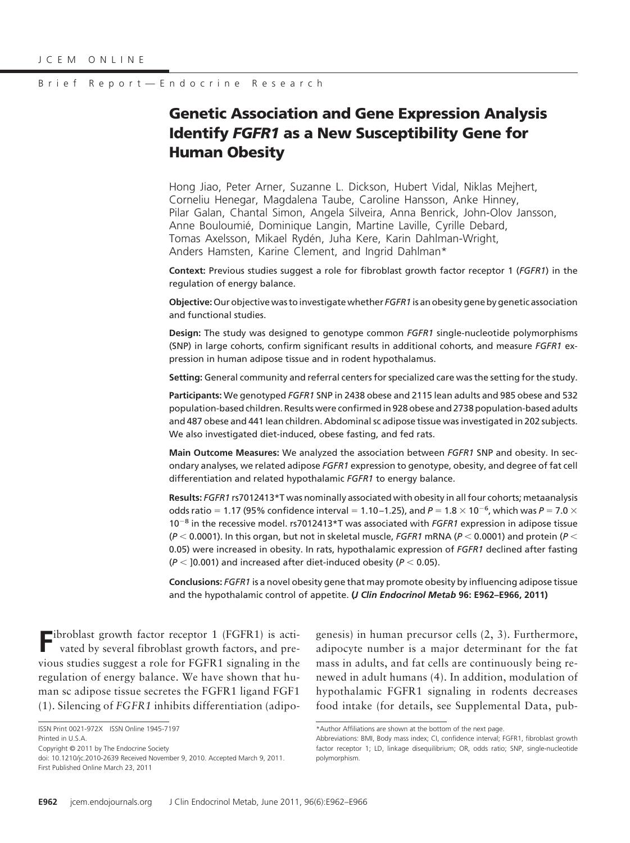## **Genetic Association and Gene Expression Analysis Identify** *FGFR1* **as a New Susceptibility Gene for Human Obesity**

Hong Jiao, Peter Arner, Suzanne L. Dickson, Hubert Vidal, Niklas Mejhert, Corneliu Henegar, Magdalena Taube, Caroline Hansson, Anke Hinney, Pilar Galan, Chantal Simon, Angela Silveira, Anna Benrick, John-Olov Jansson, Anne Bouloumié, Dominique Langin, Martine Laville, Cyrille Debard, Tomas Axelsson, Mikael Rydén, Juha Kere, Karin Dahlman-Wright, Anders Hamsten, Karine Clement, and Ingrid Dahlman\*

**Context:** Previous studies suggest a role for fibroblast growth factor receptor 1 (*FGFR1*) in the regulation of energy balance.

**Objective:**Our objective was to investigate whether *FGFR1* is an obesity gene by genetic association and functional studies.

**Design:** The study was designed to genotype common *FGFR1* single-nucleotide polymorphisms (SNP) in large cohorts, confirm significant results in additional cohorts, and measure *FGFR1* expression in human adipose tissue and in rodent hypothalamus.

**Setting:** General community and referral centers for specialized care was the setting for the study.

**Participants:** We genotyped *FGFR1* SNP in 2438 obese and 2115 lean adults and 985 obese and 532 population-based children. Results were confirmed in 928 obese and 2738 population-based adults and 487 obese and 441 lean children. Abdominal sc adipose tissue was investigated in 202 subjects. We also investigated diet-induced, obese fasting, and fed rats.

**Main Outcome Measures:** We analyzed the association between *FGFR1* SNP and obesity. In secondary analyses, we related adipose *FGFR1* expression to genotype, obesity, and degree of fat cell differentiation and related hypothalamic *FGFR1* to energy balance.

**Results:** *FGFR1* rs7012413\*T was nominally associated with obesity in all four cohorts; metaanalysis odds ratio = 1.17 (95% confidence interval = 1.10–1.25), and  $P = 1.8 \times 10^{-6}$ , which was  $P = 7.0 \times$ 10<sup>-8</sup> in the recessive model. rs7012413\*T was associated with *FGFR1* expression in adipose tissue  $(P < 0.0001)$ . In this organ, but not in skeletal muscle, *FGFR1* mRNA ( $P < 0.0001$ ) and protein ( $P <$ 0.05) were increased in obesity. In rats, hypothalamic expression of *FGFR1* declined after fasting  $(P <$  ]0.001) and increased after diet-induced obesity ( $P <$  0.05).

**Conclusions:** *FGFR1* is a novel obesity gene that may promote obesity by influencing adipose tissue and the hypothalamic control of appetite. **(***J Clin Endocrinol Metab* **96: E962–E966, 2011)**

Fibroblast growth factor receptor 1 (FGFR1) is activated by several fibration of  $\frac{1}{2}$ vated by several fibroblast growth factors, and previous studies suggest a role for FGFR1 signaling in the regulation of energy balance. We have shown that human sc adipose tissue secretes the FGFR1 ligand FGF1 (1). Silencing of *FGFR1* inhibits differentiation (adipo-

genesis) in human precursor cells (2, 3). Furthermore, adipocyte number is a major determinant for the fat mass in adults, and fat cells are continuously being renewed in adult humans (4). In addition, modulation of hypothalamic FGFR1 signaling in rodents decreases food intake (for details, see Supplemental Data, pub-

ISSN Print 0021-972X ISSN Online 1945-7197 Printed in U.S.A.

Copyright © 2011 by The Endocrine Society

doi: 10.1210/jc.2010-2639 Received November 9, 2010. Accepted March 9, 2011. First Published Online March 23, 2011

<sup>\*</sup>Author Affiliations are shown at the bottom of the next page.

Abbreviations: BMI, Body mass index; CI, confidence interval; FGFR1, fibroblast growth factor receptor 1; LD, linkage disequilibrium; OR, odds ratio; SNP, single-nucleotide polymorphism.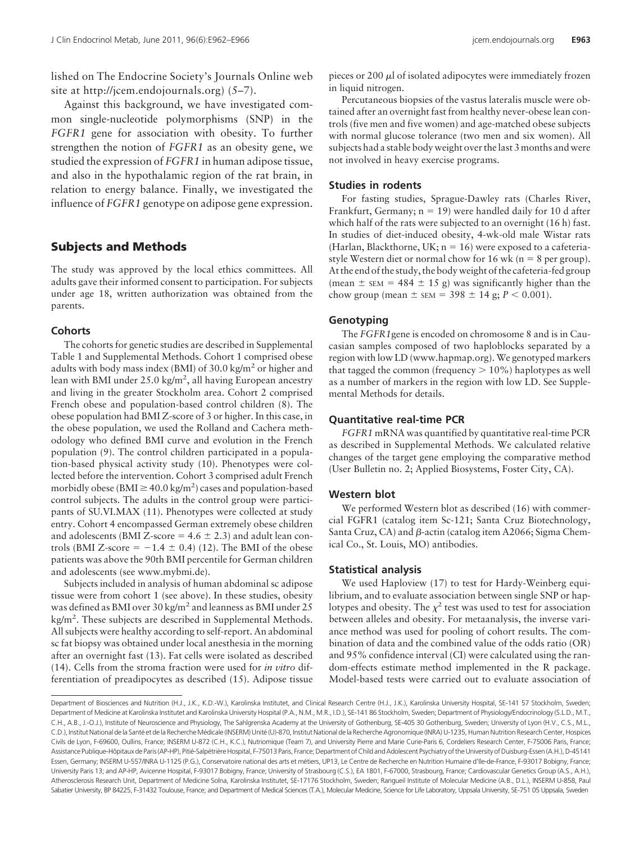lished on The Endocrine Society's Journals Online web site at http://jcem.endojournals.org) (5–7).

Against this background, we have investigated common single-nucleotide polymorphisms (SNP) in the *FGFR1* gene for association with obesity. To further strengthen the notion of *FGFR1* as an obesity gene, we studied the expression of *FGFR1* in human adipose tissue, and also in the hypothalamic region of the rat brain, in relation to energy balance. Finally, we investigated the influence of *FGFR1* genotype on adipose gene expression.

### **Subjects and Methods**

The study was approved by the local ethics committees. All adults gave their informed consent to participation. For subjects under age 18, written authorization was obtained from the parents.

#### **Cohorts**

The cohorts for genetic studies are described in Supplemental Table 1 and Supplemental Methods. Cohort 1 comprised obese adults with body mass index (BMI) of  $30.0 \text{ kg/m}^2$  or higher and lean with BMI under 25.0 kg/m<sup>2</sup>, all having European ancestry and living in the greater Stockholm area. Cohort 2 comprised French obese and population-based control children (8). The obese population had BMI Z-score of 3 or higher. In this case, in the obese population, we used the Rolland and Cachera methodology who defined BMI curve and evolution in the French population (9). The control children participated in a population-based physical activity study (10). Phenotypes were collected before the intervention. Cohort 3 comprised adult French morbidly obese (BMI  $\geq$  40.0 kg/m<sup>2</sup>) cases and population-based control subjects. The adults in the control group were participants of SU.VI.MAX (11). Phenotypes were collected at study entry. Cohort 4 encompassed German extremely obese children and adolescents (BMI Z-score  $= 4.6 \pm 2.3$ ) and adult lean controls (BMI Z-score =  $-1.4 \pm 0.4$ ) (12). The BMI of the obese patients was above the 90th BMI percentile for German children and adolescents (see www.mybmi.de).

Subjects included in analysis of human abdominal sc adipose tissue were from cohort 1 (see above). In these studies, obesity was defined as BMI over 30 kg/m<sup>2</sup> and leanness as BMI under 25 kg/m<sup>2</sup>. These subjects are described in Supplemental Methods. All subjects were healthy according to self-report. An abdominal sc fat biopsy was obtained under local anesthesia in the morning after an overnight fast (13). Fat cells were isolated as described (14). Cells from the stroma fraction were used for *in vitro* differentiation of preadipocytes as described (15). Adipose tissue

pieces or 200  $\mu$ l of isolated adipocytes were immediately frozen in liquid nitrogen.

Percutaneous biopsies of the vastus lateralis muscle were obtained after an overnight fast from healthy never-obese lean controls (five men and five women) and age-matched obese subjects with normal glucose tolerance (two men and six women). All subjects had a stable body weight over the last 3 months and were not involved in heavy exercise programs.

#### **Studies in rodents**

For fasting studies, Sprague-Dawley rats (Charles River, Frankfurt, Germany;  $n = 19$ ) were handled daily for 10 d after which half of the rats were subjected to an overnight (16 h) fast. In studies of diet-induced obesity, 4-wk-old male Wistar rats (Harlan, Blackthorne, UK;  $n = 16$ ) were exposed to a cafeteriastyle Western diet or normal chow for 16 wk ( $n = 8$  per group). At the end of the study, the body weight of the cafeteria-fed group (mean  $\pm$  sEM = 484  $\pm$  15 g) was significantly higher than the chow group (mean  $\pm$  sEM = 398  $\pm$  14 g; *P* < 0.001).

## **Genotyping**

The *FGFR1*gene is encoded on chromosome 8 and is in Caucasian samples composed of two haploblocks separated by a region with low LD (www.hapmap.org). We genotyped markers that tagged the common (frequency  $> 10\%$ ) haplotypes as well as a number of markers in the region with low LD. See Supplemental Methods for details.

#### **Quantitative real-time PCR**

*FGFR1* mRNA was quantified by quantitative real-time PCR as described in Supplemental Methods. We calculated relative changes of the target gene employing the comparative method (User Bulletin no. 2; Applied Biosystems, Foster City, CA).

#### **Western blot**

We performed Western blot as described (16) with commercial FGFR1 (catalog item Sc-121; Santa Cruz Biotechnology, Santa Cruz, CA) and  $\beta$ -actin (catalog item A2066; Sigma Chemical Co., St. Louis, MO) antibodies.

#### **Statistical analysis**

We used Haploview (17) to test for Hardy-Weinberg equilibrium, and to evaluate association between single SNP or haplotypes and obesity. The  $\chi^2$  test was used to test for association between alleles and obesity. For metaanalysis, the inverse variance method was used for pooling of cohort results. The combination of data and the combined value of the odds ratio (OR) and 95% confidence interval (CI) were calculated using the random-effects estimate method implemented in the R package. Model-based tests were carried out to evaluate association of

Department of Biosciences and Nutrition (H.J., J.K., K.D.-W.), Karolinska Institutet, and Clinical Research Centre (H.J., J.K.), Karolinska University Hospital, SE-141 57 Stockholm, Sweden; Department of Medicine at Karolinska Institutet and Karolinska University Hospital (P.A., N.M., M.R., I.D.), SE-141 86 Stockholm, Sweden; Department of Physiology/Endocrinology (S.L.D., M.T., C.H., A.B., J.-O.J.), Institute of Neuroscience and Physiology, The Sahlgrenska Academy at the University of Gothenburg, SE-405 30 Gothenburg, Sweden; University of Lyon (H.V., C.S., M.L., C.D.), Institut National de la Santé et de la Recherche Médicale (INSERM) Unité (U)-870, Institut National de la Recherche Agronomique (INRA) U-1235, Human Nutrition Research Center, Hospices Civils de Lyon, F-69600, Oullins, France; INSERM U-872 (C.H., K.C.), Nutriomique (Team 7), and University Pierre and Marie Curie-Paris 6, Cordeliers Research Center, F-75006 Paris, France; Assistance Publique-Hôpitaux de Paris (AP-HP), Pitié-Salpétrière Hospital, F-75013 Paris, France; Department of Child and Adolescent Psychiatry of the University of Duisburg-Essen (A.H.), D-45141 Essen, Germany; INSERM U-557/INRA U-1125 (P.G.), Conservatoire national des arts et métiers, UP13, Le Centre de Recherche en Nutrition Humaine d'Ile-de-France, F-93017 Bobigny, France; University Paris 13; and AP-HP, Avicenne Hospital, F-93017 Bobigny, France; University of Strasbourg (C.S.), EA 1801, F-67000, Strasbourg, France; Cardiovascular Genetics Group (A.S., A.H.), Atherosclerosis Research Unit, Department of Medicine Solna, Karolinska Institutet, SE-17176 Stockholm, Sweden; Rangueil Institute of Molecular Medicine (A.B., D.L.), INSERM U-858, Paul Sabatier University, BP 84225, F-31432 Toulouse, France; and Department of Medical Sciences (T.A.), Molecular Medicine, Science for Life Laboratory, Uppsala University, SE-751 05 Uppsala, Sweden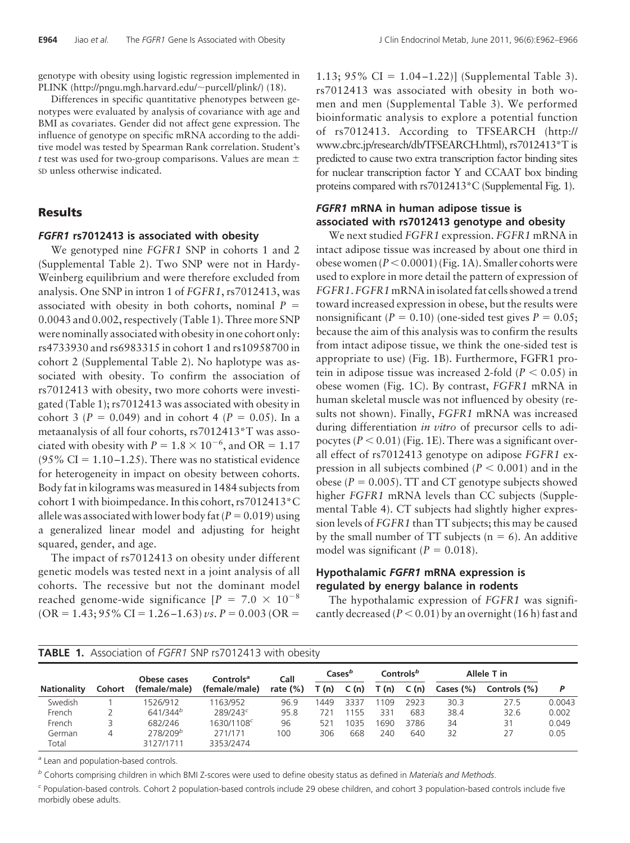genotype with obesity using logistic regression implemented in PLINK (http://pngu.mgh.harvard.edu/~purcell/plink/) (18).

Differences in specific quantitative phenotypes between genotypes were evaluated by analysis of covariance with age and BMI as covariates. Gender did not affect gene expression. The influence of genotype on specific mRNA according to the additive model was tested by Spearman Rank correlation. Student's *t* test was used for two-group comparisons. Values are mean SD unless otherwise indicated.

## **Results**

#### *FGFR1* **rs7012413 is associated with obesity**

We genotyped nine *FGFR1* SNP in cohorts 1 and 2 (Supplemental Table 2). Two SNP were not in Hardy-Weinberg equilibrium and were therefore excluded from analysis. One SNP in intron 1 of *FGFR1*, rs7012413, was associated with obesity in both cohorts, nominal  $P =$ 0.0043 and 0.002, respectively (Table 1). Three more SNP were nominally associated with obesity in one cohort only: rs4733930 and rs6983315 in cohort 1 and rs10958700 in cohort 2 (Supplemental Table 2). No haplotype was associated with obesity. To confirm the association of rs7012413 with obesity, two more cohorts were investigated (Table 1); rs7012413 was associated with obesity in cohort 3 ( $P = 0.049$ ) and in cohort 4 ( $P = 0.05$ ). In a metaanalysis of all four cohorts, rs7012413\*T was associated with obesity with  $P = 1.8 \times 10^{-6}$ , and OR = 1.17 (95% CI =  $1.10 - 1.25$ ). There was no statistical evidence for heterogeneity in impact on obesity between cohorts. Body fat in kilograms was measured in 1484 subjects from cohort 1 with bioimpedance. In this cohort, rs7012413\*C allele was associated with lower body fat  $(P = 0.019)$  using a generalized linear model and adjusting for height squared, gender, and age.

The impact of rs7012413 on obesity under different genetic models was tested next in a joint analysis of all cohorts. The recessive but not the dominant model reached genome-wide significance  $[P = 7.0 \times 10^{-8}]$  $(OR = 1.43; 95\% CI = 1.26 - 1.63) \text{ vs. } P = 0.003 \text{ (OR =)}$ 

bioinformatic analysis to explore a potential function of rs7012413. According to TFSEARCH (http:// www.cbrc.jp/research/db/TFSEARCH.html), rs7012413\*T is predicted to cause two extra transcription factor binding sites for nuclear transcription factor Y and CCAAT box binding proteins compared with rs7012413\*C (Supplemental Fig. 1).

## *FGFR1* **mRNA in human adipose tissue is associated with rs7012413 genotype and obesity**

We next studied *FGFR1* expression. *FGFR1* mRNA in intact adipose tissue was increased by about one third in obese women  $(P < 0.0001)$  (Fig. 1A). Smaller cohorts were used to explore in more detail the pattern of expression of *FGFR1*.*FGFR1* mRNAinisolated fat cells showed a trend toward increased expression in obese, but the results were nonsignificant ( $P = 0.10$ ) (one-sided test gives  $P = 0.05$ ; because the aim of this analysis was to confirm the results from intact adipose tissue, we think the one-sided test is appropriate to use) (Fig. 1B). Furthermore, FGFR1 protein in adipose tissue was increased 2-fold  $(P < 0.05)$  in obese women (Fig. 1C). By contrast, *FGFR1* mRNA in human skeletal muscle was not influenced by obesity (results not shown). Finally, *FGFR1* mRNA was increased during differentiation *in vitro* of precursor cells to adipocytes  $(P < 0.01)$  (Fig. 1E). There was a significant overall effect of rs7012413 genotype on adipose *FGFR1* expression in all subjects combined  $(P < 0.001)$  and in the obese ( $P = 0.005$ ). TT and CT genotype subjects showed higher *FGFR1* mRNA levels than CC subjects (Supplemental Table 4). CT subjects had slightly higher expression levels of *FGFR1* than TT subjects; this may be caused by the small number of TT subjects ( $n = 6$ ). An additive model was significant  $(P = 0.018)$ .

## **Hypothalamic** *FGFR1* **mRNA expression is regulated by energy balance in rodents**

The hypothalamic expression of *FGFR1* was significantly decreased ( $P < 0.01$ ) by an overnight (16 h) fast and

| <b>TABLE 1.</b> Association of FGFR1 SNP rs/012413 with obesity |               |                                   |                                        |                     |                    |      |                       |      |             |              |        |
|-----------------------------------------------------------------|---------------|-----------------------------------|----------------------------------------|---------------------|--------------------|------|-----------------------|------|-------------|--------------|--------|
| <b>Nationality</b>                                              | <b>Cohort</b> | Obese cases<br>(female/male)      | Controls <sup>a</sup><br>(female/male) | Call<br>rate $(\%)$ | Cases <sup>b</sup> |      | Controls <sup>b</sup> |      | Allele T in |              |        |
|                                                                 |               |                                   |                                        |                     | T(n)               | C(n) | T(n)                  | C(n) | Cases (%)   | Controls (%) | P      |
| Swedish                                                         |               | 1526/912                          | 1163/952                               | 96.9                | 1449               | 3337 | 109                   | 2923 | 30.3        | 27.5         | 0.0043 |
| French                                                          |               | 641/344 <sup>b</sup>              | 289/243 <sup>c</sup>                   | 95.8                | 721                | 1155 | 331                   | 683  | 38.4        | 32.6         | 0.002  |
| French                                                          |               | 682/246                           | 1630/1108 <sup>c</sup>                 | 96                  | 521                | 1035 | 1690                  | 3786 | 34          | 31           | 0.049  |
| German<br>Total                                                 | 4             | 278/209 <sup>b</sup><br>3127/1711 | 271/171<br>3353/2474                   | 100                 | 306                | 668  | 240                   | 640  | 32          | 27           | 0.05   |

#### **TABLE 1.** Association of *FGFR1* SNP rs7012413 with obesity

*<sup>a</sup>* Lean and population-based controls.

*<sup>b</sup>* Cohorts comprising children in which BMI Z-scores were used to define obesity status as defined in *Materials and Methods*.

*<sup>c</sup>* Population-based controls. Cohort 2 population-based controls include 29 obese children, and cohort 3 population-based controls include five morbidly obese adults.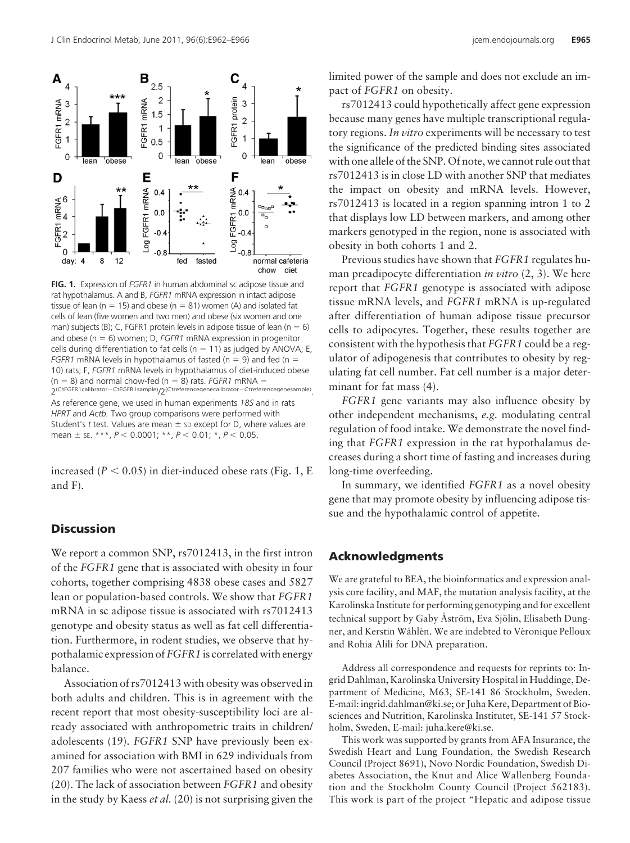



**FIG. 1.** Expression of *FGFR1* in human abdominal sc adipose tissue and rat hypothalamus. A and B, *FGFR1* mRNA expression in intact adipose tissue of lean ( $n = 15$ ) and obese ( $n = 81$ ) women (A) and isolated fat cells of lean (five women and two men) and obese (six women and one man) subjects (B); C, FGFR1 protein levels in adipose tissue of lean ( $n = 6$ ) and obese ( $n = 6$ ) women; D, *FGFR1* mRNA expression in progenitor cells during differentiation to fat cells ( $n = 11$ ) as judged by ANOVA; E, *FGFR1* mRNA levels in hypothalamus of fasted ( $n = 9$ ) and fed ( $n = 1$ ) 10) rats; F, *FGFR1* mRNA levels in hypothalamus of diet-induced obese  $(n = 8)$  and normal chow-fed  $(n = 8)$  rats. *FGFR1* mRNA =  $2(CtFGFR1caliber-CtFGFR1sample)/2(Ctreferencegenecalibration-Ctreferencegenesample).$ 

As reference gene, we used in human experiments *18S* and in rats *HPRT* and *Actb.* Two group comparisons were performed with Student's *t* test. Values are mean  $\pm$  sp except for D, where values are mean  $\pm$  se. \*\*\*,  $P$  < 0.0001; \*\*,  $P$  < 0.01; \*,  $P$  < 0.05.

increased  $(P < 0.05)$  in diet-induced obese rats (Fig. 1, E and F).

## **Discussion**

We report a common SNP, rs7012413, in the first intron of the *FGFR1* gene that is associated with obesity in four cohorts, together comprising 4838 obese cases and 5827 lean or population-based controls. We show that *FGFR1* mRNA in sc adipose tissue is associated with rs7012413 genotype and obesity status as well as fat cell differentiation. Furthermore, in rodent studies, we observe that hypothalamic expression of *FGFR1* is correlated with energy balance.

Association of rs7012413 with obesity was observed in both adults and children. This is in agreement with the recent report that most obesity-susceptibility loci are already associated with anthropometric traits in children/ adolescents (19). *FGFR1* SNP have previously been examined for association with BMI in 629 individuals from 207 families who were not ascertained based on obesity (20). The lack of association between *FGFR1* and obesity in the study by Kaess *et al.* (20) is not surprising given the

limited power of the sample and does not exclude an impact of *FGFR1* on obesity.

rs7012413 could hypothetically affect gene expression because many genes have multiple transcriptional regulatory regions. *In vitro* experiments will be necessary to test the significance of the predicted binding sites associated with one allele of the SNP. Of note, we cannot rule out that rs7012413 is in close LD with another SNP that mediates the impact on obesity and mRNA levels. However, rs7012413 is located in a region spanning intron 1 to 2 that displays low LD between markers, and among other markers genotyped in the region, none is associated with obesity in both cohorts 1 and 2.

Previous studies have shown that *FGFR1* regulates human preadipocyte differentiation *in vitro* (2, 3). We here report that *FGFR1* genotype is associated with adipose tissue mRNA levels, and *FGFR1* mRNA is up-regulated after differentiation of human adipose tissue precursor cells to adipocytes. Together, these results together are consistent with the hypothesis that *FGFR1* could be a regulator of adipogenesis that contributes to obesity by regulating fat cell number. Fat cell number is a major determinant for fat mass (4).

*FGFR1* gene variants may also influence obesity by other independent mechanisms, *e.g.* modulating central regulation of food intake. We demonstrate the novel finding that *FGFR1* expression in the rat hypothalamus decreases during a short time of fasting and increases during long-time overfeeding.

In summary, we identified *FGFR1* as a novel obesity gene that may promote obesity by influencing adipose tissue and the hypothalamic control of appetite.

## **Acknowledgments**

We are grateful to BEA, the bioinformatics and expression analysis core facility, and MAF, the mutation analysis facility, at the Karolinska Institute for performing genotyping and for excellent technical support by Gaby Åström, Eva Sjölin, Elisabeth Dungner, and Kerstin Wåhlén. We are indebted to Véronique Pelloux and Rohia Alili for DNA preparation.

Address all correspondence and requests for reprints to: Ingrid Dahlman, Karolinska University Hospital in Huddinge, Department of Medicine, M63, SE-141 86 Stockholm, Sweden. E-mail: ingrid.dahlman@ki.se; or Juha Kere, Department of Biosciences and Nutrition, Karolinska Institutet, SE-141 57 Stockholm, Sweden, E-mail: juha.kere@ki.se.

This work was supported by grants from AFA Insurance, the Swedish Heart and Lung Foundation, the Swedish Research Council (Project 8691), Novo Nordic Foundation, Swedish Diabetes Association, the Knut and Alice Wallenberg Foundation and the Stockholm County Council (Project 562183). This work is part of the project "Hepatic and adipose tissue